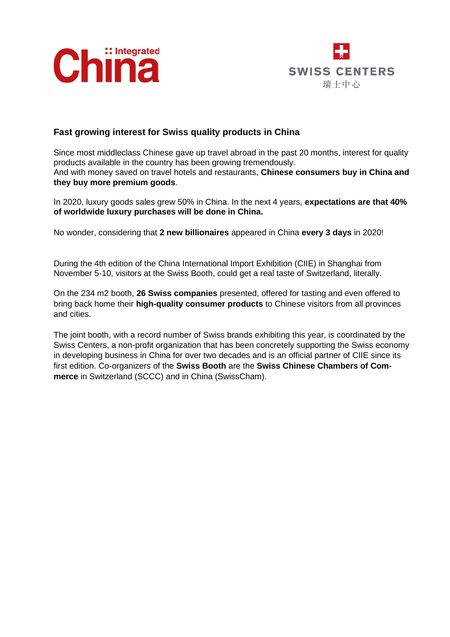



## **Fast growing interest for Swiss quality products in China**

Since most middleclass Chinese gave up travel abroad in the past 20 months, interest for quality products available in the country has been growing tremendously. And with money saved on travel hotels and restaurants, **Chinese consumers buy in China and they buy more premium goods**.

In 2020, luxury goods sales grew 50% in China. In the next 4 years, **expectations are that 40% of worldwide luxury purchases will be done in China.**

No wonder, considering that **2 new billionaires** appeared in China **every 3 days** in 2020!

During the 4th edition of the China International Import Exhibition (CIIE) in Shanghai from November 5-10, visitors at the Swiss Booth, could get a real taste of Switzerland, literally.

On the 234 m2 booth, **26 Swiss companies** presented, offered for tasting and even offered to bring back home their **high-quality consumer products** to Chinese visitors from all provinces and cities.

The joint booth, with a record number of Swiss brands exhibiting this year, is coordinated by the Swiss Centers, a non-profit organization that has been concretely supporting the Swiss economy in developing business in China for over two decades and is an official partner of CIIE since its first edition. Co-organizers of the **Swiss Booth** are the **Swiss Chinese Chambers of Commerce** in Switzerland (SCCC) and in China (SwissCham).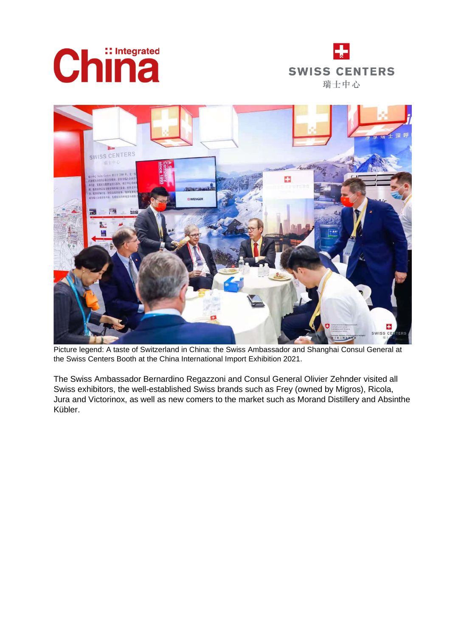





*Picture legend: A taste of Switzerland in China: the Swiss Ambassador and Shanghai Consul General at the Swiss Centers Booth at the China International Import Exhibition 2021.*

The Swiss Ambassador Bernardino Regazzoni and Consul General Olivier Zehnder visited all Swiss exhibitors, the well-established Swiss brands such as Frey (owned by Migros), Ricola, Jura and Victorinox, as well as new comers to the market such as Morand Distillery and Absinthe Kübler.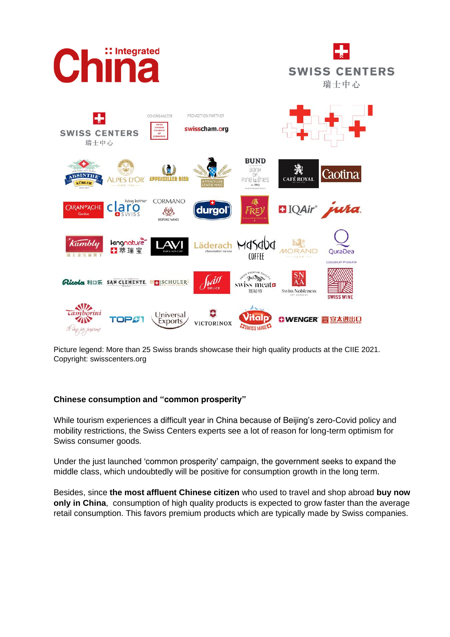

*Picture legend: More than 25 Swiss brands showcase their high quality products at the CIIE 2021. Copyright: swisscenters.org*

## **Chinese consumption and "common prosperity"**

While tourism experiences a difficult year in China because of Beijing's zero-Covid policy and mobility restrictions, the Swiss Centers experts see a lot of reason for long-term optimism for Swiss consumer goods.

Under the just launched 'common prosperity' campaign, the government seeks to expand the middle class, which undoubtedly will be positive for consumption growth in the long term.

Besides, since **the most affluent Chinese citizen** who used to travel and shop abroad **buy now only in China**, consumption of high quality products is expected to grow faster than the average retail consumption. This favors premium products which are typically made by Swiss companies.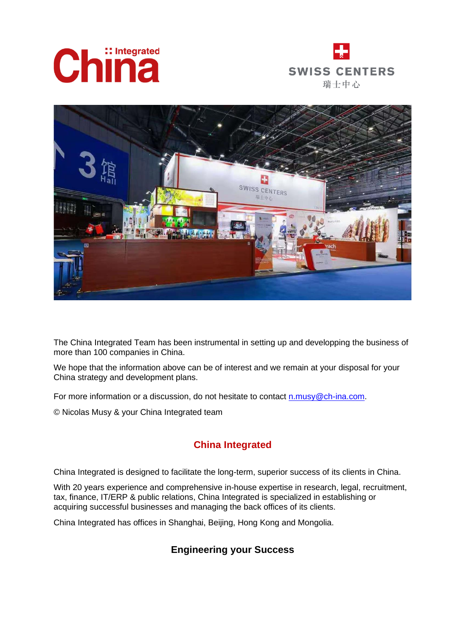





The China Integrated Team has been instrumental in setting up and developping the business of more than 100 companies in China.

We hope that the information above can be of interest and we remain at your disposal for your China strategy and development plans.

For more information or a discussion, do not hesitate to contact [n.musy@ch-ina.com.](mailto:n.musy@ch-ina.com)

© Nicolas Musy & your China Integrated team

## **China Integrated**

China Integrated is designed to facilitate the long-term, superior success of its clients in China.

With 20 years experience and comprehensive in-house expertise in research, legal, recruitment, tax, finance, IT/ERP & public relations, China Integrated is specialized in establishing or acquiring successful businesses and managing the back offices of its clients.

China Integrated has offices in Shanghai, Beijing, Hong Kong and Mongolia.

## **Engineering your Success**